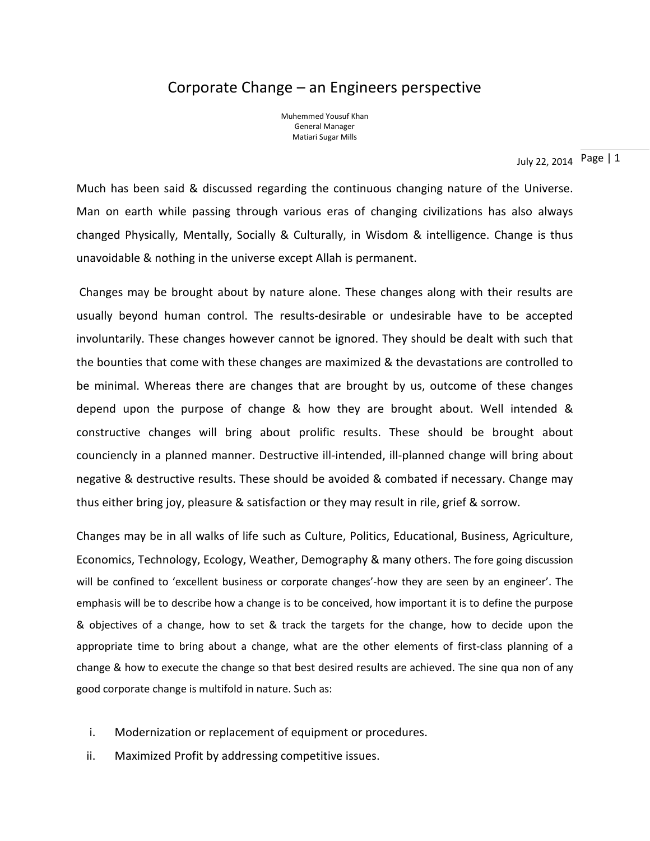# Corporate Change – an Engineers perspective

Muhemmed Yousuf Khan General Manager Matiari Sugar Mills

July 22, 2014 Page | 1

Much has been said & discussed regarding the continuous changing nature of the Universe. Man on earth while passing through various eras of changing civilizations has also always changed Physically, Mentally, Socially & Culturally, in Wisdom & intelligence. Change is thus unavoidable & nothing in the universe except Allah is permanent.

Changes may be brought about by nature alone. These changes along with their results are usually beyond human control. The results-desirable or undesirable have to be accepted involuntarily. These changes however cannot be ignored. They should be dealt with such that the bounties that come with these changes are maximized & the devastations are controlled to be minimal. Whereas there are changes that are brought by us, outcome of these changes depend upon the purpose of change & how they are brought about. Well intended & constructive changes will bring about prolific results. These should be brought about counciencly in a planned manner. Destructive ill-intended, ill-planned change will bring about negative & destructive results. These should be avoided & combated if necessary. Change may thus either bring joy, pleasure & satisfaction or they may result in rile, grief & sorrow.

Changes may be in all walks of life such as Culture, Politics, Educational, Business, Agriculture, Economics, Technology, Ecology, Weather, Demography & many others. The fore going discussion will be confined to 'excellent business or corporate changes'-how they are seen by an engineer'. The emphasis will be to describe how a change is to be conceived, how important it is to define the purpose & objectives of a change, how to set & track the targets for the change, how to decide upon the appropriate time to bring about a change, what are the other elements of first-class planning of a change & how to execute the change so that best desired results are achieved. The sine qua non of any good corporate change is multifold in nature. Such as:

- i. Modernization or replacement of equipment or procedures.
- ii. Maximized Profit by addressing competitive issues.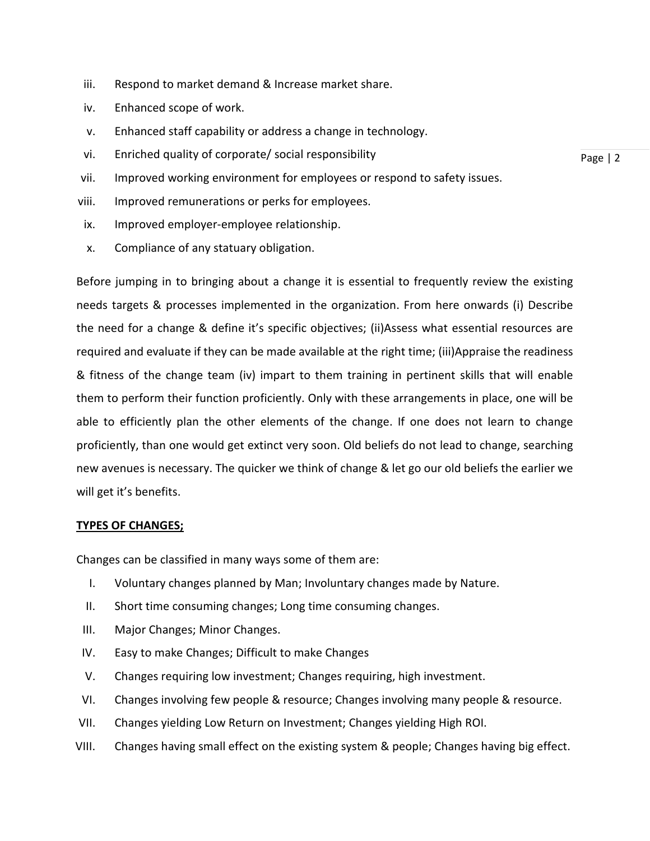- iii. Respond to market demand & Increase market share.
- iv. Enhanced scope of work.
- v. Enhanced staff capability or address a change in technology.
- vi. Enriched quality of corporate/ social responsibility
- vii. Improved working environment for employees or respond to safety issues.
- viii. Improved remunerations or perks for employees.
- ix. Improved employer-employee relationship.
- x. Compliance of any statuary obligation.

Before jumping in to bringing about a change it is essential to frequently review the existing needs targets & processes implemented in the organization. From here onwards (i) Describe the need for a change & define it's specific objectives; (ii)Assess what essential resources are required and evaluate if they can be made available at the right time; (iii)Appraise the readiness & fitness of the change team (iv) impart to them training in pertinent skills that will enable them to perform their function proficiently. Only with these arrangements in place, one will be able to efficiently plan the other elements of the change. If one does not learn to change proficiently, than one would get extinct very soon. Old beliefs do not lead to change, searching new avenues is necessary. The quicker we think of change & let go our old beliefs the earlier we will get it's benefits.

# **TYPES OF CHANGES;**

Changes can be classified in many ways some of them are:

- I. Voluntary changes planned by Man; Involuntary changes made by Nature.
- II. Short time consuming changes; Long time consuming changes.
- III. Major Changes; Minor Changes.
- IV. Easy to make Changes; Difficult to make Changes
- V. Changes requiring low investment; Changes requiring, high investment.
- VI. Changes involving few people & resource; Changes involving many people & resource.
- VII. Changes yielding Low Return on Investment; Changes yielding High ROI.
- VIII. Changes having small effect on the existing system & people; Changes having big effect.

Page | 2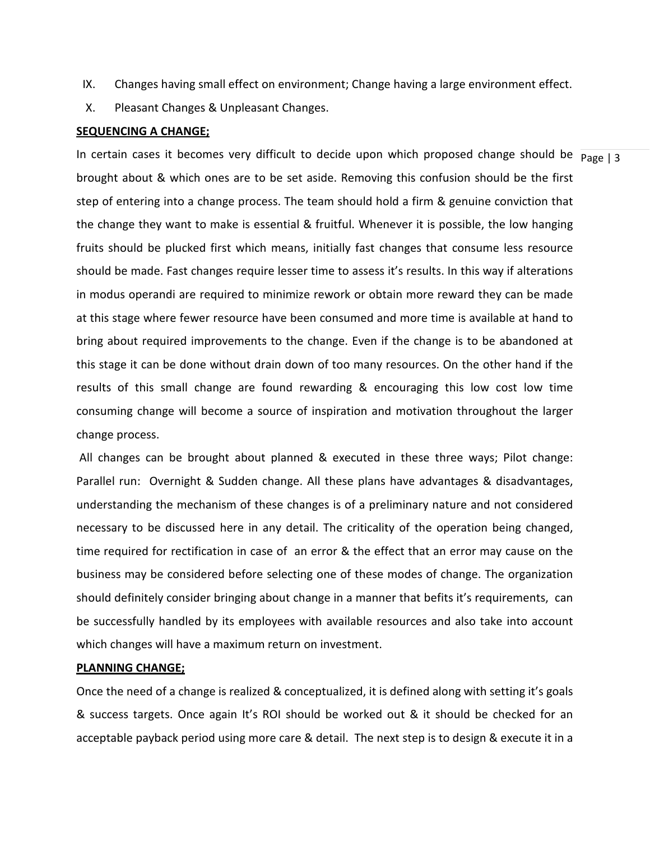- IX. Changes having small effect on environment; Change having a large environment effect.
- X. Pleasant Changes & Unpleasant Changes.

#### **SEQUENCING A CHANGE;**

In certain cases it becomes very difficult to decide upon which proposed change should be  $\frac{}{\text{Page }|3}$ brought about & which ones are to be set aside. Removing this confusion should be the first step of entering into a change process. The team should hold a firm & genuine conviction that the change they want to make is essential & fruitful. Whenever it is possible, the low hanging fruits should be plucked first which means, initially fast changes that consume less resource should be made. Fast changes require lesser time to assess it's results. In this way if alterations in modus operandi are required to minimize rework or obtain more reward they can be made at this stage where fewer resource have been consumed and more time is available at hand to bring about required improvements to the change. Even if the change is to be abandoned at this stage it can be done without drain down of too many resources. On the other hand if the results of this small change are found rewarding & encouraging this low cost low time consuming change will become a source of inspiration and motivation throughout the larger change process.

All changes can be brought about planned & executed in these three ways; Pilot change: Parallel run: Overnight & Sudden change. All these plans have advantages & disadvantages, understanding the mechanism of these changes is of a preliminary nature and not considered necessary to be discussed here in any detail. The criticality of the operation being changed, time required for rectification in case of an error & the effect that an error may cause on the business may be considered before selecting one of these modes of change. The organization should definitely consider bringing about change in a manner that befits it's requirements, can be successfully handled by its employees with available resources and also take into account which changes will have a maximum return on investment.

### **PLANNING CHANGE;**

Once the need of a change is realized & conceptualized, it is defined along with setting it's goals & success targets. Once again It's ROI should be worked out & it should be checked for an acceptable payback period using more care & detail. The next step is to design & execute it in a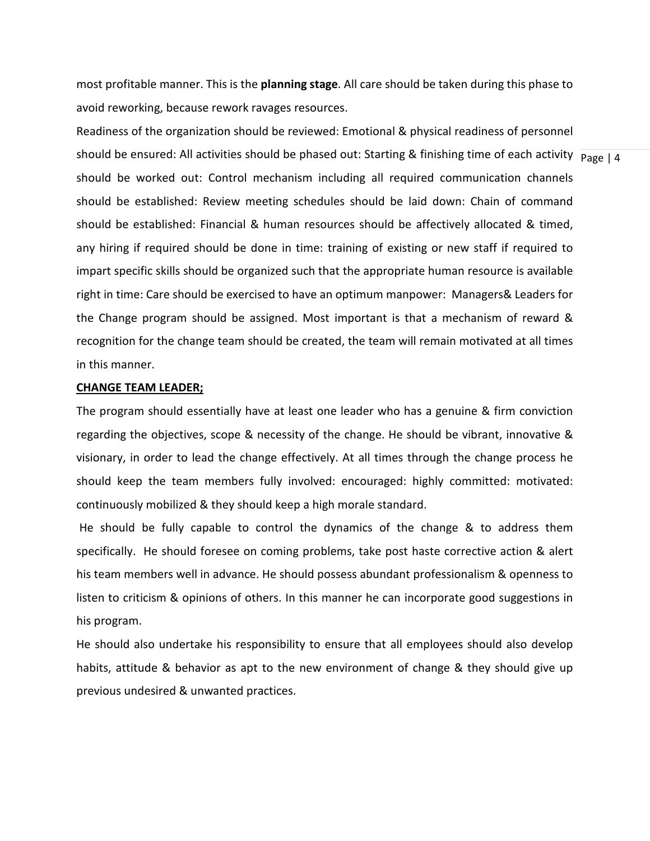most profitable manner. This is the **planning stage**. All care should be taken during this phase to avoid reworking, because rework ravages resources.

should be ensured: All activities should be phased out: Starting & finishing time of each activity  $\frac{}{\text{Page } |}$  4 Readiness of the organization should be reviewed: Emotional & physical readiness of personnel should be worked out: Control mechanism including all required communication channels should be established: Review meeting schedules should be laid down: Chain of command should be established: Financial & human resources should be affectively allocated & timed, any hiring if required should be done in time: training of existing or new staff if required to impart specific skills should be organized such that the appropriate human resource is available right in time: Care should be exercised to have an optimum manpower: Managers& Leaders for the Change program should be assigned. Most important is that a mechanism of reward & recognition for the change team should be created, the team will remain motivated at all times in this manner.

#### **CHANGE TEAM LEADER;**

The program should essentially have at least one leader who has a genuine & firm conviction regarding the objectives, scope & necessity of the change. He should be vibrant, innovative & visionary, in order to lead the change effectively. At all times through the change process he should keep the team members fully involved: encouraged: highly committed: motivated: continuously mobilized & they should keep a high morale standard.

He should be fully capable to control the dynamics of the change & to address them specifically. He should foresee on coming problems, take post haste corrective action & alert his team members well in advance. He should possess abundant professionalism & openness to listen to criticism & opinions of others. In this manner he can incorporate good suggestions in his program.

He should also undertake his responsibility to ensure that all employees should also develop habits, attitude & behavior as apt to the new environment of change & they should give up previous undesired & unwanted practices.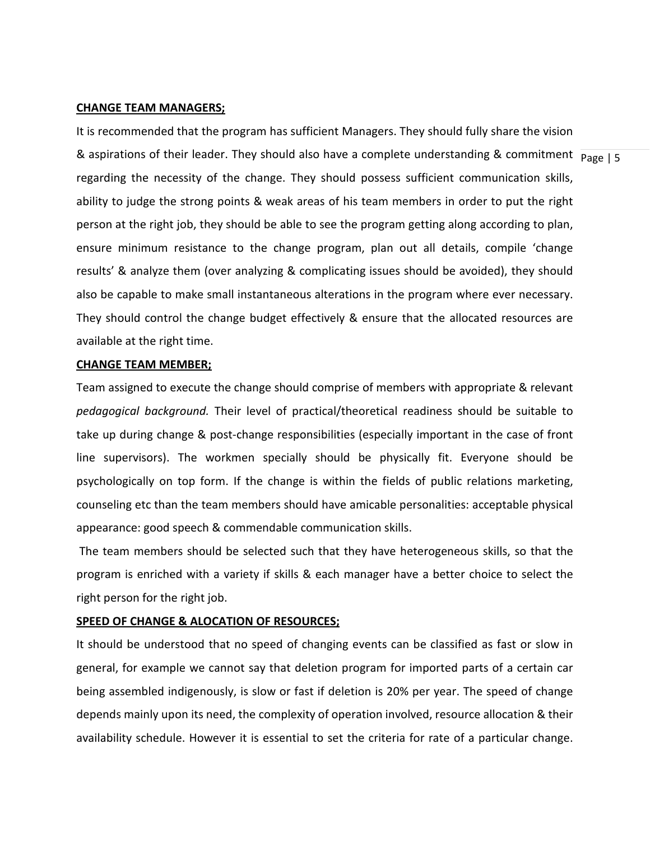#### **CHANGE TEAM MANAGERS;**

& aspirations of their leader. They should also have a complete understanding & commitment  $\frac{}{\text{Page }|\,5}$ It is recommended that the program has sufficient Managers. They should fully share the vision regarding the necessity of the change. They should possess sufficient communication skills, ability to judge the strong points & weak areas of his team members in order to put the right person at the right job, they should be able to see the program getting along according to plan, ensure minimum resistance to the change program, plan out all details, compile 'change results' & analyze them (over analyzing & complicating issues should be avoided), they should also be capable to make small instantaneous alterations in the program where ever necessary. They should control the change budget effectively & ensure that the allocated resources are available at the right time.

# **CHANGE TEAM MEMBER;**

Team assigned to execute the change should comprise of members with appropriate & relevant *pedagogical background.* Their level of practical/theoretical readiness should be suitable to take up during change & post-change responsibilities (especially important in the case of front line supervisors). The workmen specially should be physically fit. Everyone should be psychologically on top form. If the change is within the fields of public relations marketing, counseling etc than the team members should have amicable personalities: acceptable physical appearance: good speech & commendable communication skills.

The team members should be selected such that they have heterogeneous skills, so that the program is enriched with a variety if skills & each manager have a better choice to select the right person for the right job.

# **SPEED OF CHANGE & ALOCATION OF RESOURCES;**

It should be understood that no speed of changing events can be classified as fast or slow in general, for example we cannot say that deletion program for imported parts of a certain car being assembled indigenously, is slow or fast if deletion is 20% per year. The speed of change depends mainly upon its need, the complexity of operation involved, resource allocation & their availability schedule. However it is essential to set the criteria for rate of a particular change.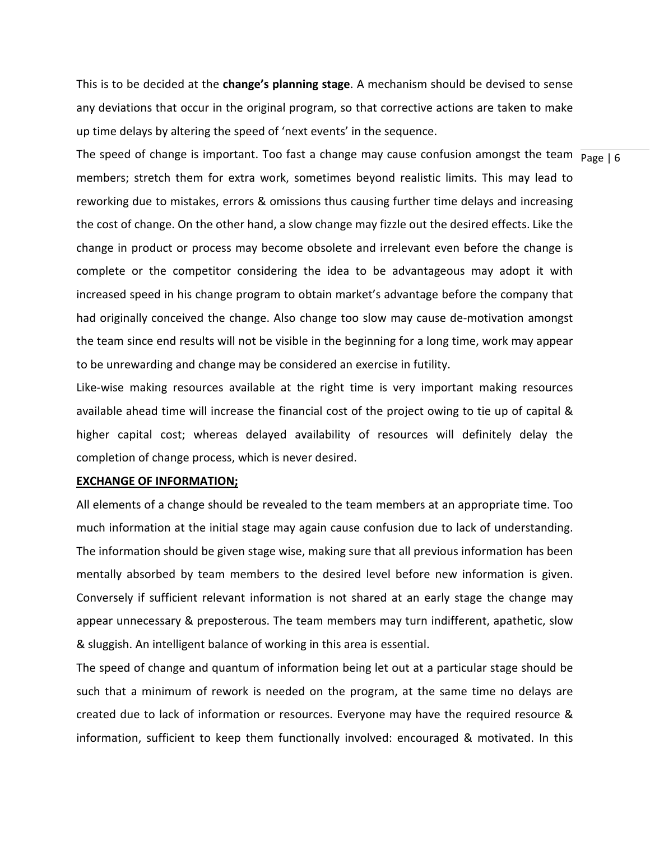This is to be decided at the **change's planning stage**. A mechanism should be devised to sense any deviations that occur in the original program, so that corrective actions are taken to make up time delays by altering the speed of 'next events' in the sequence.

The speed of change is important. Too fast a change may cause confusion amongst the team  $\frac{}{\text{Page }|6}$ members; stretch them for extra work, sometimes beyond realistic limits. This may lead to reworking due to mistakes, errors & omissions thus causing further time delays and increasing the cost of change. On the other hand, a slow change may fizzle out the desired effects. Like the change in product or process may become obsolete and irrelevant even before the change is complete or the competitor considering the idea to be advantageous may adopt it with increased speed in his change program to obtain market's advantage before the company that had originally conceived the change. Also change too slow may cause de-motivation amongst the team since end results will not be visible in the beginning for a long time, work may appear to be unrewarding and change may be considered an exercise in futility.

Like-wise making resources available at the right time is very important making resources available ahead time will increase the financial cost of the project owing to tie up of capital & higher capital cost; whereas delayed availability of resources will definitely delay the completion of change process, which is never desired.

#### **EXCHANGE OF INFORMATION;**

All elements of a change should be revealed to the team members at an appropriate time. Too much information at the initial stage may again cause confusion due to lack of understanding. The information should be given stage wise, making sure that all previous information has been mentally absorbed by team members to the desired level before new information is given. Conversely if sufficient relevant information is not shared at an early stage the change may appear unnecessary & preposterous. The team members may turn indifferent, apathetic, slow & sluggish. An intelligent balance of working in this area is essential.

The speed of change and quantum of information being let out at a particular stage should be such that a minimum of rework is needed on the program, at the same time no delays are created due to lack of information or resources. Everyone may have the required resource & information, sufficient to keep them functionally involved: encouraged & motivated. In this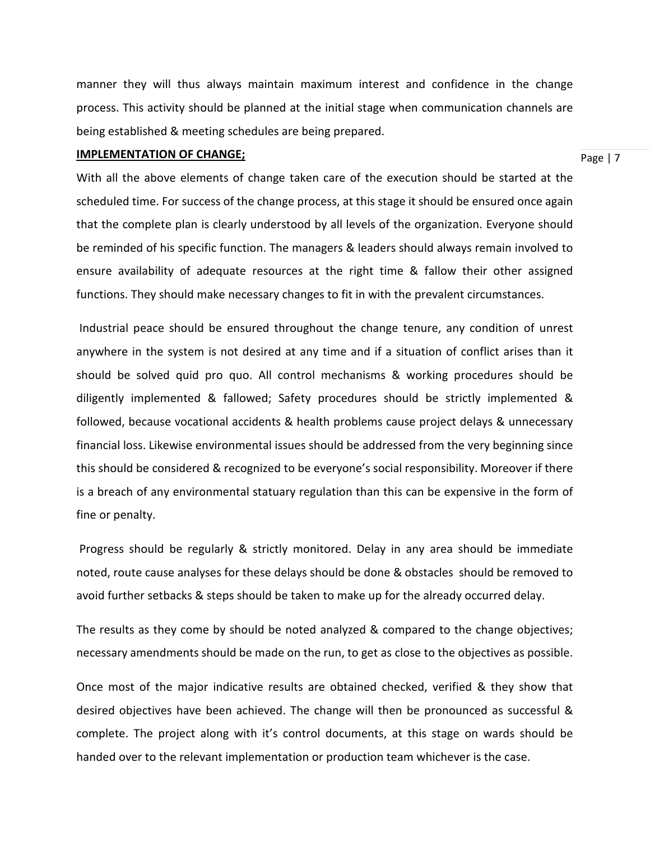manner they will thus always maintain maximum interest and confidence in the change process. This activity should be planned at the initial stage when communication channels are being established & meeting schedules are being prepared.

#### **IMPLEMENTATION OF CHANGE;**

Page | 7

With all the above elements of change taken care of the execution should be started at the scheduled time. For success of the change process, at this stage it should be ensured once again that the complete plan is clearly understood by all levels of the organization. Everyone should be reminded of his specific function. The managers & leaders should always remain involved to ensure availability of adequate resources at the right time & fallow their other assigned functions. They should make necessary changes to fit in with the prevalent circumstances.

Industrial peace should be ensured throughout the change tenure, any condition of unrest anywhere in the system is not desired at any time and if a situation of conflict arises than it should be solved quid pro quo. All control mechanisms & working procedures should be diligently implemented & fallowed; Safety procedures should be strictly implemented & followed, because vocational accidents & health problems cause project delays & unnecessary financial loss. Likewise environmental issues should be addressed from the very beginning since this should be considered & recognized to be everyone's social responsibility. Moreover if there is a breach of any environmental statuary regulation than this can be expensive in the form of fine or penalty.

Progress should be regularly & strictly monitored. Delay in any area should be immediate noted, route cause analyses for these delays should be done & obstacles should be removed to avoid further setbacks & steps should be taken to make up for the already occurred delay.

The results as they come by should be noted analyzed & compared to the change objectives; necessary amendments should be made on the run, to get as close to the objectives as possible.

Once most of the major indicative results are obtained checked, verified & they show that desired objectives have been achieved. The change will then be pronounced as successful & complete. The project along with it's control documents, at this stage on wards should be handed over to the relevant implementation or production team whichever is the case.